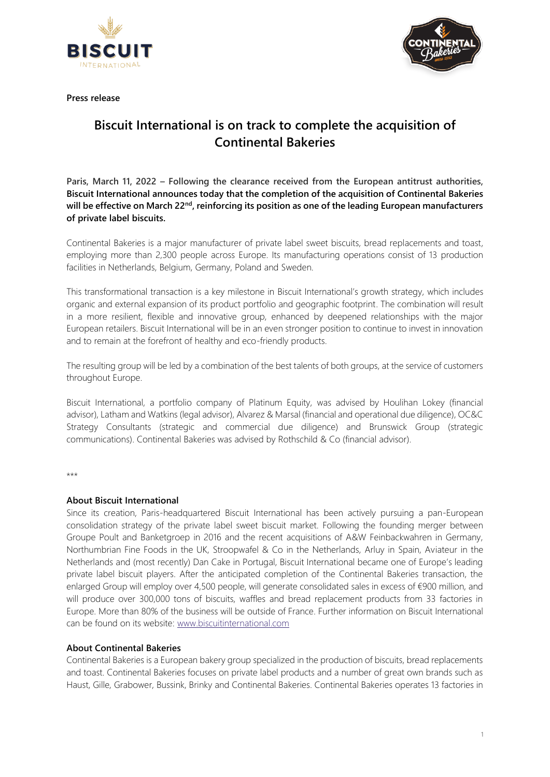





# **Biscuit International is on track to complete the acquisition of Continental Bakeries**

**Paris, March 11, 2022 – Following the clearance received from the European antitrust authorities, Biscuit International announces today that the completion of the acquisition of Continental Bakeries will be effective on March 22nd, reinforcing its position as one of the leading European manufacturers of private label biscuits.**

Continental Bakeries is a major manufacturer of private label sweet biscuits, bread replacements and toast, employing more than 2,300 people across Europe. Its manufacturing operations consist of 13 production facilities in Netherlands, Belgium, Germany, Poland and Sweden.

This transformational transaction is a key milestone in Biscuit International's growth strategy, which includes organic and external expansion of its product portfolio and geographic footprint. The combination will result in a more resilient, flexible and innovative group, enhanced by deepened relationships with the major European retailers. Biscuit International will be in an even stronger position to continue to invest in innovation and to remain at the forefront of healthy and eco-friendly products.

The resulting group will be led by a combination of the best talents of both groups, at the service of customers throughout Europe.

Biscuit International, a portfolio company of Platinum Equity, was advised by Houlihan Lokey (financial advisor), Latham and Watkins (legal advisor), Alvarez & Marsal (financial and operational due diligence), OC&C Strategy Consultants (strategic and commercial due diligence) and Brunswick Group (strategic communications). Continental Bakeries was advised by Rothschild & Co (financial advisor).

\*\*\*

## **About Biscuit International**

Since its creation, Paris-headquartered Biscuit International has been actively pursuing a pan-European consolidation strategy of the private label sweet biscuit market. Following the founding merger between Groupe Poult and Banketgroep in 2016 and the recent acquisitions of A&W Feinbackwahren in Germany, Northumbrian Fine Foods in the UK, Stroopwafel & Co in the Netherlands, Arluy in Spain, Aviateur in the Netherlands and (most recently) Dan Cake in Portugal, Biscuit International became one of Europe's leading private label biscuit players. After the anticipated completion of the Continental Bakeries transaction, the enlarged Group will employ over 4,500 people, will generate consolidated sales in excess of €900 million, and will produce over 300,000 tons of biscuits, waffles and bread replacement products from 33 factories in Europe. More than 80% of the business will be outside of France. Further information on Biscuit International can be found on its website: [www.biscuitinternational.com](http://www.biscuitinternational.com/)

## **About Continental Bakeries**

Continental Bakeries is a European bakery group specialized in the production of biscuits, bread replacements and toast. Continental Bakeries focuses on private label products and a number of great own brands such as Haust, Gille, Grabower, Bussink, Brinky and Continental Bakeries. Continental Bakeries operates 13 factories in